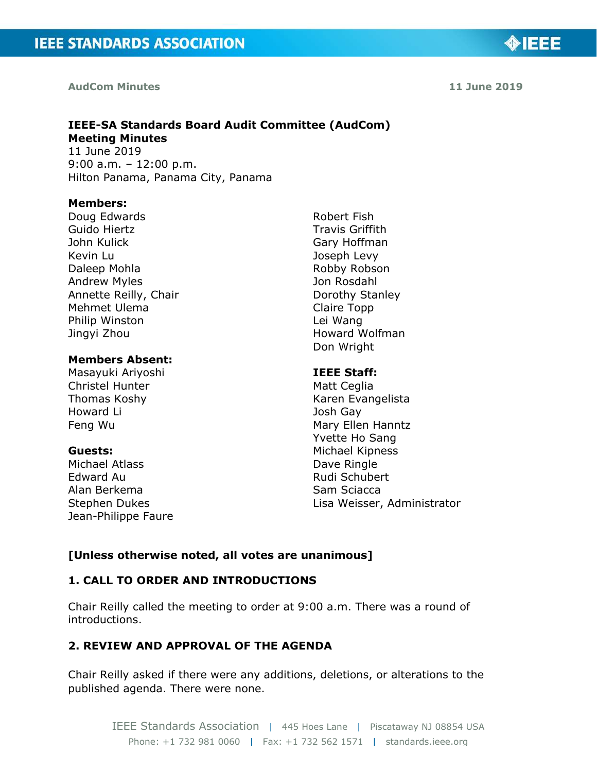#### **AudCom Minutes**

**11 June 2019**

**OIEEE** 

# **IEEE-SA Standards Board Audit Committee (AudCom) Meeting Minutes**

11 June 2019 9:00 a.m. – 12:00 p.m. Hilton Panama, Panama City, Panama

#### **Members:**

Doug Edwards Guido Hiertz John Kulick Kevin Lu Daleep Mohla Andrew Myles Annette Reilly, Chair Mehmet Ulema Philip Winston Jingyi Zhou

#### **Members Absent:**

Masayuki Ariyoshi Christel Hunter Thomas Koshy Howard Li Feng Wu

#### **Guests:**

Michael Atlass Edward Au Alan Berkema Stephen Dukes Jean-Philippe Faure Robert Fish Travis Griffith Gary Hoffman Joseph Levy Robby Robson Jon Rosdahl Dorothy Stanley Claire Topp Lei Wang Howard Wolfman Don Wright

#### **IEEE Staff:**

Matt Ceglia Karen Evangelista Josh Gay Mary Ellen Hanntz Yvette Ho Sang Michael Kipness Dave Ringle Rudi Schubert Sam Sciacca Lisa Weisser, Administrator

#### **[Unless otherwise noted, all votes are unanimous]**

## **1. CALL TO ORDER AND INTRODUCTIONS**

Chair Reilly called the meeting to order at 9:00 a.m. There was a round of introductions.

## **2. REVIEW AND APPROVAL OF THE AGENDA**

Chair Reilly asked if there were any additions, deletions, or alterations to the published agenda. There were none.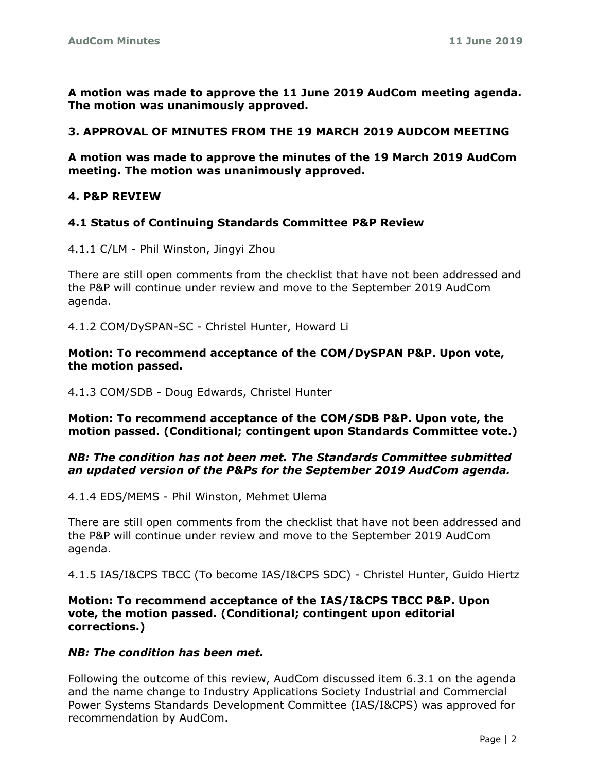**A motion was made to approve the 11 June 2019 AudCom meeting agenda. The motion was unanimously approved.**

#### **3. APPROVAL OF MINUTES FROM THE 19 MARCH 2019 AUDCOM MEETING**

**A motion was made to approve the minutes of the 19 March 2019 AudCom meeting. The motion was unanimously approved.**

#### **4. P&P REVIEW**

#### **4.1 Status of Continuing Standards Committee P&P Review**

4.1.1 C/LM - Phil Winston, Jingyi Zhou

There are still open comments from the checklist that have not been addressed and the P&P will continue under review and move to the September 2019 AudCom agenda.

4.1.2 COM/DySPAN-SC - Christel Hunter, Howard Li

#### **Motion: To recommend acceptance of the COM/DySPAN P&P. Upon vote, the motion passed.**

4.1.3 COM/SDB - Doug Edwards, Christel Hunter

**Motion: To recommend acceptance of the COM/SDB P&P. Upon vote, the motion passed. (Conditional; contingent upon Standards Committee vote.)**

#### *NB: The condition has not been met. The Standards Committee submitted an updated version of the P&Ps for the September 2019 AudCom agenda.*

4.1.4 EDS/MEMS - Phil Winston, Mehmet Ulema

There are still open comments from the checklist that have not been addressed and the P&P will continue under review and move to the September 2019 AudCom agenda.

4.1.5 IAS/I&CPS TBCC (To become IAS/I&CPS SDC) - Christel Hunter, Guido Hiertz

#### **Motion: To recommend acceptance of the IAS/I&CPS TBCC P&P. Upon vote, the motion passed. (Conditional; contingent upon editorial corrections.)**

#### *NB: The condition has been met.*

Following the outcome of this review, AudCom discussed item 6.3.1 on the agenda and the name change to Industry Applications Society Industrial and Commercial Power Systems Standards Development Committee (IAS/I&CPS) was approved for recommendation by AudCom.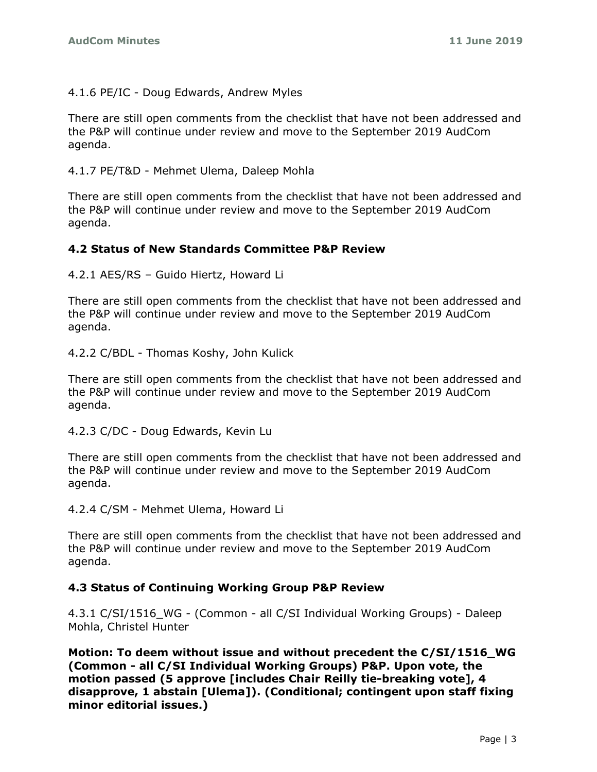4.1.6 PE/IC - Doug Edwards, Andrew Myles

There are still open comments from the checklist that have not been addressed and the P&P will continue under review and move to the September 2019 AudCom agenda.

4.1.7 PE/T&D - Mehmet Ulema, Daleep Mohla

There are still open comments from the checklist that have not been addressed and the P&P will continue under review and move to the September 2019 AudCom agenda.

### **4.2 Status of New Standards Committee P&P Review**

4.2.1 AES/RS – Guido Hiertz, Howard Li

There are still open comments from the checklist that have not been addressed and the P&P will continue under review and move to the September 2019 AudCom agenda.

4.2.2 C/BDL - Thomas Koshy, John Kulick

There are still open comments from the checklist that have not been addressed and the P&P will continue under review and move to the September 2019 AudCom agenda.

4.2.3 C/DC - Doug Edwards, Kevin Lu

There are still open comments from the checklist that have not been addressed and the P&P will continue under review and move to the September 2019 AudCom agenda.

4.2.4 C/SM - Mehmet Ulema, Howard Li

There are still open comments from the checklist that have not been addressed and the P&P will continue under review and move to the September 2019 AudCom agenda.

### **4.3 Status of Continuing Working Group P&P Review**

4.3.1 C/SI/1516\_WG - (Common - all C/SI Individual Working Groups) - Daleep Mohla, Christel Hunter

**Motion: To deem without issue and without precedent the C/SI/1516\_WG (Common - all C/SI Individual Working Groups) P&P. Upon vote, the motion passed (5 approve [includes Chair Reilly tie-breaking vote], 4 disapprove, 1 abstain [Ulema]). (Conditional; contingent upon staff fixing minor editorial issues.)**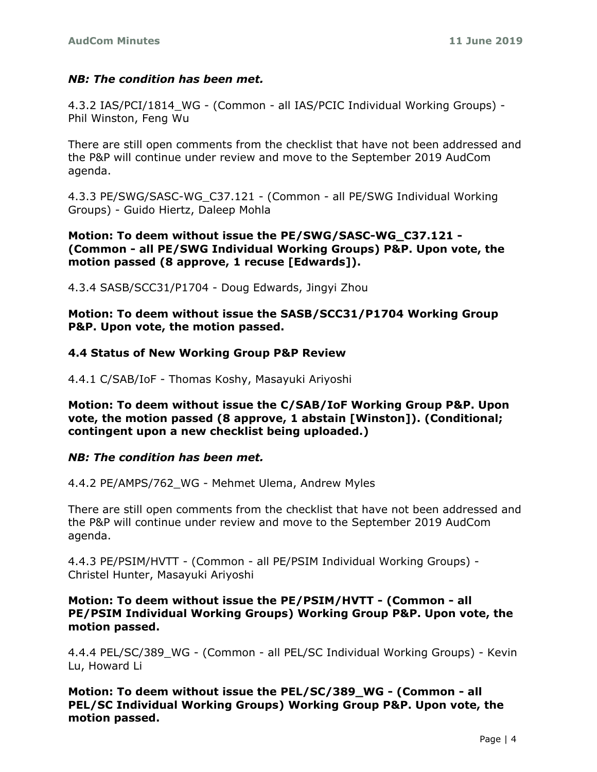### *NB: The condition has been met.*

4.3.2 IAS/PCI/1814\_WG - (Common - all IAS/PCIC Individual Working Groups) - Phil Winston, Feng Wu

There are still open comments from the checklist that have not been addressed and the P&P will continue under review and move to the September 2019 AudCom agenda.

4.3.3 PE/SWG/SASC-WG\_C37.121 - (Common - all PE/SWG Individual Working Groups) - Guido Hiertz, Daleep Mohla

#### **Motion: To deem without issue the PE/SWG/SASC-WG\_C37.121 - (Common - all PE/SWG Individual Working Groups) P&P. Upon vote, the motion passed (8 approve, 1 recuse [Edwards]).**

4.3.4 SASB/SCC31/P1704 - Doug Edwards, Jingyi Zhou

**Motion: To deem without issue the SASB/SCC31/P1704 Working Group P&P. Upon vote, the motion passed.**

#### **4.4 Status of New Working Group P&P Review**

4.4.1 C/SAB/IoF - Thomas Koshy, Masayuki Ariyoshi

**Motion: To deem without issue the C/SAB/IoF Working Group P&P. Upon vote, the motion passed (8 approve, 1 abstain [Winston]). (Conditional; contingent upon a new checklist being uploaded.)**

#### *NB: The condition has been met.*

4.4.2 PE/AMPS/762\_WG - Mehmet Ulema, Andrew Myles

There are still open comments from the checklist that have not been addressed and the P&P will continue under review and move to the September 2019 AudCom agenda.

4.4.3 PE/PSIM/HVTT - (Common - all PE/PSIM Individual Working Groups) - Christel Hunter, Masayuki Ariyoshi

#### **Motion: To deem without issue the PE/PSIM/HVTT - (Common - all PE/PSIM Individual Working Groups) Working Group P&P. Upon vote, the motion passed.**

4.4.4 PEL/SC/389\_WG - (Common - all PEL/SC Individual Working Groups) - Kevin Lu, Howard Li

**Motion: To deem without issue the PEL/SC/389\_WG - (Common - all PEL/SC Individual Working Groups) Working Group P&P. Upon vote, the motion passed.**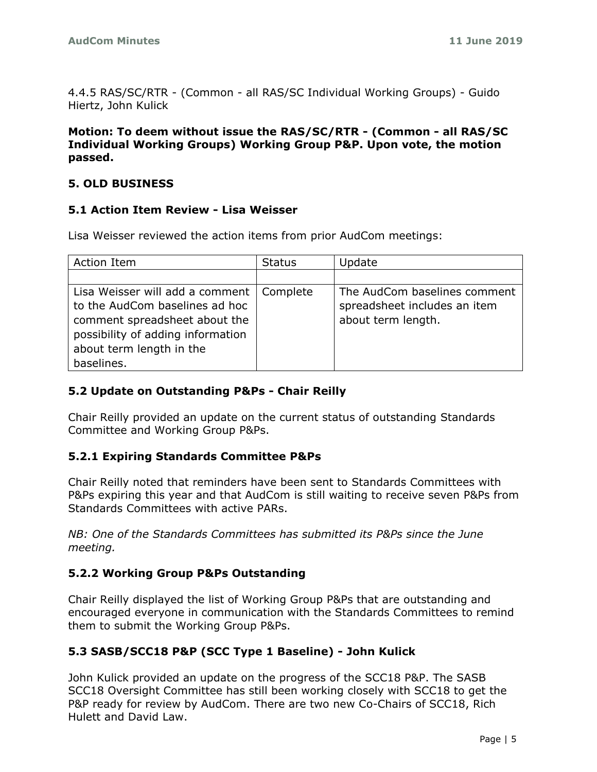4.4.5 RAS/SC/RTR - (Common - all RAS/SC Individual Working Groups) - Guido Hiertz, John Kulick

#### **Motion: To deem without issue the RAS/SC/RTR - (Common - all RAS/SC Individual Working Groups) Working Group P&P. Upon vote, the motion passed.**

### **5. OLD BUSINESS**

#### **5.1 Action Item Review - Lisa Weisser**

Lisa Weisser reviewed the action items from prior AudCom meetings:

| Action Item                                | <b>Status</b> | Update                       |
|--------------------------------------------|---------------|------------------------------|
|                                            |               |                              |
| Lisa Weisser will add a comment   Complete |               | The AudCom baselines comment |
| to the AudCom baselines ad hoc             |               | spreadsheet includes an item |
| comment spreadsheet about the              |               | about term length.           |
| possibility of adding information          |               |                              |
| about term length in the                   |               |                              |
| baselines.                                 |               |                              |

### **5.2 Update on Outstanding P&Ps - Chair Reilly**

Chair Reilly provided an update on the current status of outstanding Standards Committee and Working Group P&Ps.

### **5.2.1 Expiring Standards Committee P&Ps**

Chair Reilly noted that reminders have been sent to Standards Committees with P&Ps expiring this year and that AudCom is still waiting to receive seven P&Ps from Standards Committees with active PARs.

*NB: One of the Standards Committees has submitted its P&Ps since the June meeting.*

### **5.2.2 Working Group P&Ps Outstanding**

Chair Reilly displayed the list of Working Group P&Ps that are outstanding and encouraged everyone in communication with the Standards Committees to remind them to submit the Working Group P&Ps.

### **5.3 SASB/SCC18 P&P (SCC Type 1 Baseline) - John Kulick**

John Kulick provided an update on the progress of the SCC18 P&P. The SASB SCC18 Oversight Committee has still been working closely with SCC18 to get the P&P ready for review by AudCom. There are two new Co-Chairs of SCC18, Rich Hulett and David Law.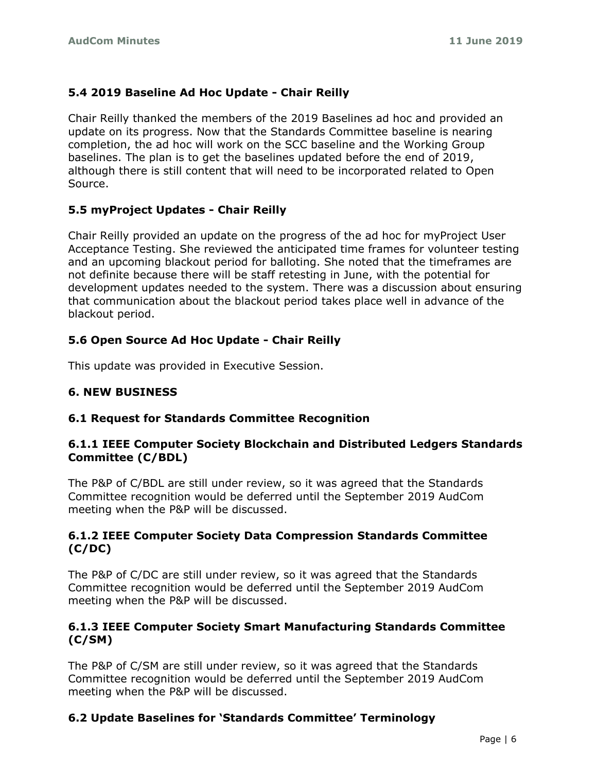### **5.4 2019 Baseline Ad Hoc Update - Chair Reilly**

Chair Reilly thanked the members of the 2019 Baselines ad hoc and provided an update on its progress. Now that the Standards Committee baseline is nearing completion, the ad hoc will work on the SCC baseline and the Working Group baselines. The plan is to get the baselines updated before the end of 2019, although there is still content that will need to be incorporated related to Open Source.

## **5.5 myProject Updates - Chair Reilly**

Chair Reilly provided an update on the progress of the ad hoc for myProject User Acceptance Testing. She reviewed the anticipated time frames for volunteer testing and an upcoming blackout period for balloting. She noted that the timeframes are not definite because there will be staff retesting in June, with the potential for development updates needed to the system. There was a discussion about ensuring that communication about the blackout period takes place well in advance of the blackout period.

## **5.6 Open Source Ad Hoc Update - Chair Reilly**

This update was provided in Executive Session.

### **6. NEW BUSINESS**

### **6.1 Request for Standards Committee Recognition**

#### **6.1.1 IEEE Computer Society Blockchain and Distributed Ledgers Standards Committee (C/BDL)**

The P&P of C/BDL are still under review, so it was agreed that the Standards Committee recognition would be deferred until the September 2019 AudCom meeting when the P&P will be discussed.

#### **6.1.2 IEEE Computer Society Data Compression Standards Committee (C/DC)**

The P&P of C/DC are still under review, so it was agreed that the Standards Committee recognition would be deferred until the September 2019 AudCom meeting when the P&P will be discussed.

### **6.1.3 IEEE Computer Society Smart Manufacturing Standards Committee (C/SM)**

The P&P of C/SM are still under review, so it was agreed that the Standards Committee recognition would be deferred until the September 2019 AudCom meeting when the P&P will be discussed.

## **6.2 Update Baselines for 'Standards Committee' Terminology**